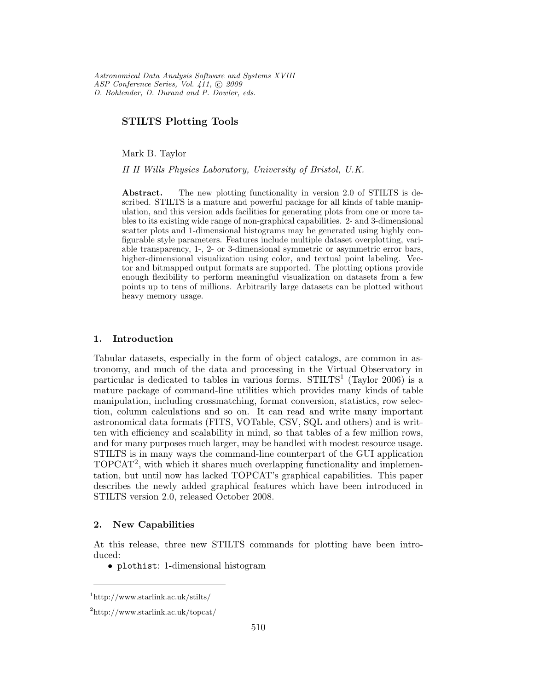Astronomical Data Analysis Software and Systems XVIII ASP Conference Series, Vol. 411,  $\odot$  2009 D. Bohlender, D. Durand and P. Dowler, eds.

# STILTS Plotting Tools

Mark B. Taylor

H H Wills Physics Laboratory, University of Bristol, U.K.

Abstract. The new plotting functionality in version 2.0 of STILTS is described. STILTS is a mature and powerful package for all kinds of table manipulation, and this version adds facilities for generating plots from one or more tables to its existing wide range of non-graphical capabilities. 2- and 3-dimensional scatter plots and 1-dimensional histograms may be generated using highly configurable style parameters. Features include multiple dataset overplotting, variable transparency, 1-, 2- or 3-dimensional symmetric or asymmetric error bars, higher-dimensional visualization using color, and textual point labeling. Vector and bitmapped output formats are supported. The plotting options provide enough flexibility to perform meaningful visualization on datasets from a few points up to tens of millions. Arbitrarily large datasets can be plotted without heavy memory usage.

#### 1. Introduction

Tabular datasets, especially in the form of object catalogs, are common in astronomy, and much of the data and processing in the Virtual Observatory in particular is dedicated to tables in various forms.  $STILTS<sup>1</sup>$  (Taylor 2006) is a mature package of command-line utilities which provides many kinds of table manipulation, including crossmatching, format conversion, statistics, row selection, column calculations and so on. It can read and write many important astronomical data formats (FITS, VOTable, CSV, SQL and others) and is written with efficiency and scalability in mind, so that tables of a few million rows, and for many purposes much larger, may be handled with modest resource usage. STILTS is in many ways the command-line counterpart of the GUI application TOPCAT 2 , with which it shares much overlapping functionality and implementation, but until now has lacked TOPCAT's graphical capabilities. This paper describes the newly added graphical features which have been introduced in STILTS version 2.0, released October 2008.

### 2. New Capabilities

At this release, three new STILTS commands for plotting have been introduced:

• plothist: 1-dimensional histogram

<sup>1</sup>http://www.starlink.ac.uk/stilts/

<sup>2</sup>http://www.starlink.ac.uk/topcat/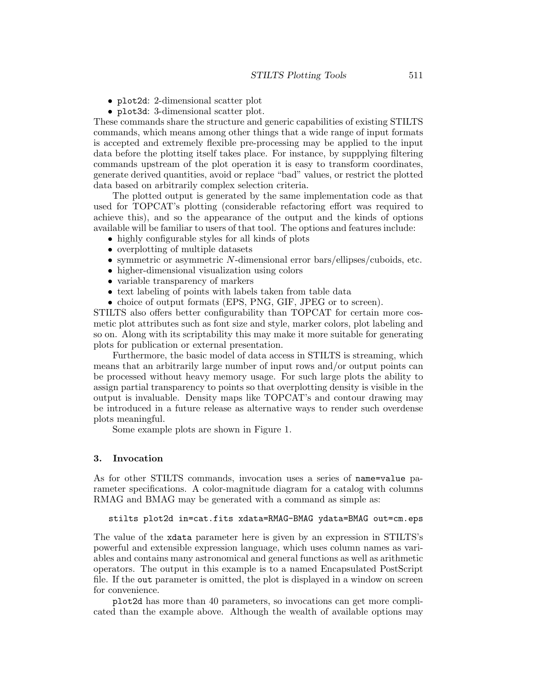- plot2d: 2-dimensional scatter plot
- plot3d: 3-dimensional scatter plot.

These commands share the structure and generic capabilities of existing STILTS commands, which means among other things that a wide range of input formats is accepted and extremely flexible pre-processing may be applied to the input data before the plotting itself takes place. For instance, by suppplying filtering commands upstream of the plot operation it is easy to transform coordinates, generate derived quantities, avoid or replace "bad" values, or restrict the plotted data based on arbitrarily complex selection criteria.

The plotted output is generated by the same implementation code as that used for TOPCAT's plotting (considerable refactoring effort was required to achieve this), and so the appearance of the output and the kinds of options available will be familiar to users of that tool. The options and features include:

- highly configurable styles for all kinds of plots
- overplotting of multiple datasets
- symmetric or asymmetric  $N$ -dimensional error bars/ellipses/cuboids, etc.
- higher-dimensional visualization using colors
- variable transparency of markers
- text labeling of points with labels taken from table data
- choice of output formats (EPS, PNG, GIF, JPEG or to screen).

STILTS also offers better configurability than TOPCAT for certain more cosmetic plot attributes such as font size and style, marker colors, plot labeling and so on. Along with its scriptability this may make it more suitable for generating plots for publication or external presentation.

Furthermore, the basic model of data access in STILTS is streaming, which means that an arbitrarily large number of input rows and/or output points can be processed without heavy memory usage. For such large plots the ability to assign partial transparency to points so that overplotting density is visible in the output is invaluable. Density maps like TOPCAT's and contour drawing may be introduced in a future release as alternative ways to render such overdense plots meaningful.

Some example plots are shown in Figure 1.

### 3. Invocation

As for other STILTS commands, invocation uses a series of name=value parameter specifications. A color-magnitude diagram for a catalog with columns RMAG and BMAG may be generated with a command as simple as:

```
stilts plot2d in=cat.fits xdata=RMAG-BMAG ydata=BMAG out=cm.eps
```
The value of the xdata parameter here is given by an expression in STILTS's powerful and extensible expression language, which uses column names as variables and contains many astronomical and general functions as well as arithmetic operators. The output in this example is to a named Encapsulated PostScript file. If the out parameter is omitted, the plot is displayed in a window on screen for convenience.

plot2d has more than 40 parameters, so invocations can get more complicated than the example above. Although the wealth of available options may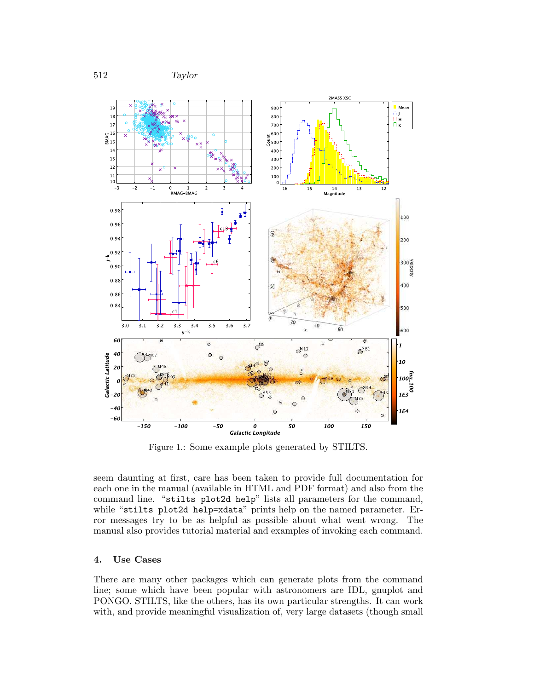

Figure 1.: Some example plots generated by STILTS.

seem daunting at first, care has been taken to provide full documentation for each one in the manual (available in HTML and PDF format) and also from the command line. "stilts plot2d help" lists all parameters for the command, while "stilts plot2d help=xdata" prints help on the named parameter. Error messages try to be as helpful as possible about what went wrong. The manual also provides tutorial material and examples of invoking each command.

## 4. Use Cases

There are many other packages which can generate plots from the command line; some which have been popular with astronomers are IDL, gnuplot and PONGO. STILTS, like the others, has its own particular strengths. It can work with, and provide meaningful visualization of, very large datasets (though small